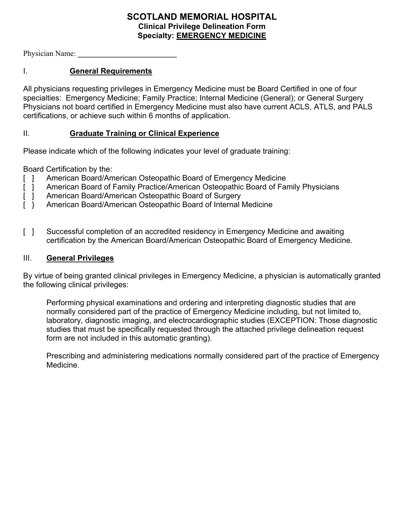## **SCOTLAND MEMORIAL HOSPITAL Clinical Privilege Delineation Form Specialty: EMERGENCY MEDICINE**

Physician Name:

# I. **General Requirements**

All physicians requesting privileges in Emergency Medicine must be Board Certified in one of four specialties: Emergency Medicine; Family Practice; Internal Medicine (General); or General Surgery Physicians not board certified in Emergency Medicine must also have current ACLS, ATLS, and PALS certifications, or achieve such within 6 months of application.

### II. **Graduate Training or Clinical Experience**

Please indicate which of the following indicates your level of graduate training:

Board Certification by the:

- [ ] American Board/American Osteopathic Board of Emergency Medicine
- [ ] American Board of Family Practice/American Osteopathic Board of Family Physicians
- [ ] American Board/American Osteopathic Board of Surgery
- [ } American Board/American Osteopathic Board of Internal Medicine
- [ ] Successful completion of an accredited residency in Emergency Medicine and awaiting certification by the American Board/American Osteopathic Board of Emergency Medicine.

#### III. **General Privileges**

By virtue of being granted clinical privileges in Emergency Medicine, a physician is automatically granted the following clinical privileges:

Performing physical examinations and ordering and interpreting diagnostic studies that are normally considered part of the practice of Emergency Medicine including, but not limited to, laboratory, diagnostic imaging, and electrocardiographic studies (EXCEPTION: Those diagnostic studies that must be specifically requested through the attached privilege delineation request form are not included in this automatic granting).

Prescribing and administering medications normally considered part of the practice of Emergency Medicine.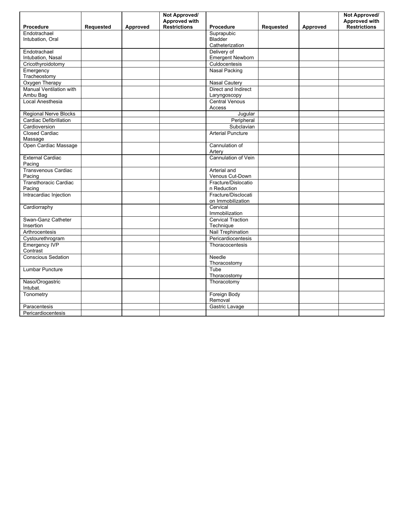|                                           |           |          | Not Approved/       |                                             |           |          | Not Approved/ |
|-------------------------------------------|-----------|----------|---------------------|---------------------------------------------|-----------|----------|---------------|
|                                           |           |          | Approved with       |                                             |           |          | Approved with |
| Procedure                                 | Requested | Approved | <b>Restrictions</b> | Procedure                                   | Requested | Approved | Restrictions  |
| Endotrachael                              |           |          |                     | Suprapubic                                  |           |          |               |
| Intubation, Oral                          |           |          |                     | <b>Bladder</b>                              |           |          |               |
|                                           |           |          |                     | Catheterization                             |           |          |               |
| Endotrachael                              |           |          |                     | Delivery of                                 |           |          |               |
| Intubation, Nasal                         |           |          |                     | <b>Emergent Newborn</b>                     |           |          |               |
| Cricothyroidotomy                         |           |          |                     | Culdocentesis                               |           |          |               |
| Emergency                                 |           |          |                     | <b>Nasal Packing</b>                        |           |          |               |
| Tracheostomy                              |           |          |                     |                                             |           |          |               |
| Oxygen Therapy<br>Manual Ventilation with |           |          |                     | <b>Nasal Cautery</b><br>Direct and Indirect |           |          |               |
| Ambu Bag                                  |           |          |                     |                                             |           |          |               |
| Local Anesthesia                          |           |          |                     | Laryngoscopy<br><b>Central Venous</b>       |           |          |               |
|                                           |           |          |                     | Access                                      |           |          |               |
| <b>Regional Nerve Blocks</b>              |           |          |                     |                                             |           |          |               |
| <b>Cardiac Defibrillation</b>             |           |          |                     | Jugular<br>Peripheral                       |           |          |               |
| Cardioversion                             |           |          |                     | Subclavian                                  |           |          |               |
| <b>Closed Cardiac</b>                     |           |          |                     | <b>Arterial Puncture</b>                    |           |          |               |
| Massage                                   |           |          |                     |                                             |           |          |               |
| Open Cardiac Massage                      |           |          |                     | Cannulation of                              |           |          |               |
|                                           |           |          |                     | Artery                                      |           |          |               |
| <b>External Cardiac</b>                   |           |          |                     | Cannulation of Vein                         |           |          |               |
| Pacing                                    |           |          |                     |                                             |           |          |               |
| <b>Transvenous Cardiac</b>                |           |          |                     | Arterial and                                |           |          |               |
| Pacing                                    |           |          |                     | Venous Cut-Down                             |           |          |               |
| <b>Transthoracic Cardiac</b>              |           |          |                     | Fracture/Dislocatio                         |           |          |               |
| Pacing                                    |           |          |                     | n Reduction                                 |           |          |               |
| Intracardiac Injection                    |           |          |                     | Fracture/Disclocati                         |           |          |               |
|                                           |           |          |                     | on Immobilization                           |           |          |               |
| Cardiorraphy                              |           |          |                     | Cervical                                    |           |          |               |
|                                           |           |          |                     | Immobilization                              |           |          |               |
| Swan-Ganz Catheter                        |           |          |                     | <b>Cervical Traction</b>                    |           |          |               |
| Insertion                                 |           |          |                     | Technique                                   |           |          |               |
| Arthrocentesis                            |           |          |                     | Nail Trephination                           |           |          |               |
| Cystourethrogram                          |           |          |                     | Pericardiocentesis                          |           |          |               |
| <b>Emergency IVP</b>                      |           |          |                     | Thoracocentesis                             |           |          |               |
| Contrast                                  |           |          |                     |                                             |           |          |               |
| <b>Conscious Sedation</b>                 |           |          |                     | Needle                                      |           |          |               |
|                                           |           |          |                     | Thoracostomy                                |           |          |               |
| <b>Lumbar Puncture</b>                    |           |          |                     | Tube                                        |           |          |               |
|                                           |           |          |                     | Thoracostomy                                |           |          |               |
| Naso/Orogastric                           |           |          |                     | Thoracotomy                                 |           |          |               |
| Intubat.                                  |           |          |                     |                                             |           |          |               |
| Tonometry                                 |           |          |                     | Foreign Body                                |           |          |               |
|                                           |           |          |                     | Removal                                     |           |          |               |
| Paracentesis                              |           |          |                     | Gastric Lavage                              |           |          |               |
| Pericardiocentesis                        |           |          |                     |                                             |           |          |               |